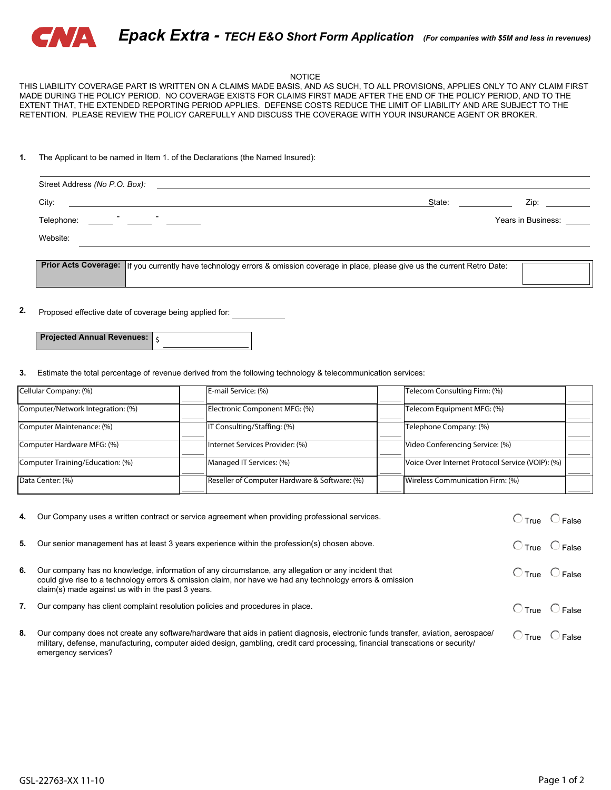

### NOTICE

THIS LIABILITY COVERAGE PART IS WRITTEN ON A CLAIMS MADE BASIS, AND AS SUCH, TO ALL PROVISIONS, APPLIES ONLY TO ANY CLAIM FIRST MADE DURING THE POLICY PERIOD. NO COVERAGE EXISTS FOR CLAIMS FIRST MADE AFTER THE END OF THE POLICY PERIOD, AND TO THE EXTENT THAT, THE EXTENDED REPORTING PERIOD APPLIES. DEFENSE COSTS REDUCE THE LIMIT OF LIABILITY AND ARE SUBJECT TO THE RETENTION. PLEASE REVIEW THE POLICY CAREFULLY AND DISCUSS THE COVERAGE WITH YOUR INSURANCE AGENT OR BROKER.

#### **1.** The Applicant to be named in Item 1. of the Declarations (the Named Insured):

| Street Address (No P.O. Box):<br><u> 1989 - Andrea Andrew Maria (h. 1989).</u><br>1905 - Andrew Maria (h. 1906). |        |                    |
|------------------------------------------------------------------------------------------------------------------|--------|--------------------|
| City:<br><u> 1989 - John Stein, Amerikaansk politiker (* 1989)</u>                                               | State: | Zip:               |
| $\overline{\phantom{0}}$<br>Telephone:<br><u> 1999 - Jan James James II, martxa</u>                              |        | Years in Business: |
| Website:                                                                                                         |        |                    |
|                                                                                                                  |        |                    |

**Prior Acts Coverage:** If you currently have technology errors & omission coverage in place, please give us the current Retro Date:

**2.** Proposed effective date of coverage being applied for:

| <b>Projected Annual Revenues:</b> |  |
|-----------------------------------|--|

**3.** Estimate the total percentage of revenue derived from the following technology & telecommunication services:

| Cellular Company: (%)             | E-mail Service: (%)                           | Telecom Consulting Firm: (%)                     |  |
|-----------------------------------|-----------------------------------------------|--------------------------------------------------|--|
|                                   |                                               |                                                  |  |
| Computer/Network Integration: (%) | Electronic Component MFG: (%)                 | Telecom Equipment MFG: (%)                       |  |
|                                   |                                               |                                                  |  |
| Computer Maintenance: (%)         | IT Consulting/Staffing: (%)                   | Telephone Company: (%)                           |  |
|                                   |                                               |                                                  |  |
| Computer Hardware MFG: (%)        | Internet Services Provider: (%)               | Video Conferencing Service: (%)                  |  |
| Computer Training/Education: (%)  | Managed IT Services: (%)                      | Voice Over Internet Protocol Service (VOIP): (%) |  |
|                                   |                                               |                                                  |  |
| Data Center: (%)                  | Reseller of Computer Hardware & Software: (%) | Wireless Communication Firm: (%)                 |  |
|                                   |                                               |                                                  |  |

| 4. | Our Company uses a written contract or service agreement when providing professional services.                                                                                                                                                                                             | $O$ True $O$ False               |
|----|--------------------------------------------------------------------------------------------------------------------------------------------------------------------------------------------------------------------------------------------------------------------------------------------|----------------------------------|
| 5. | Our senior management has at least 3 years experience within the profession(s) chosen above.                                                                                                                                                                                               | $\bigcirc$ True $\bigcirc$ False |
| 6. | Our company has no knowledge, information of any circumstance, any allegation or any incident that<br>could give rise to a technology errors & omission claim, nor have we had any technology errors & omission<br>claim(s) made against us with in the past 3 years.                      | $\bigcirc$ True $\bigcirc$ False |
| 7. | Our company has client complaint resolution policies and procedures in place.                                                                                                                                                                                                              | $O$ True $O$ False               |
| 8. | Our company does not create any software/hardware that aids in patient diagnosis, electronic funds transfer, aviation, aerospace/<br>military, defense, manufacturing, computer aided design, gambling, credit card processing, financial transcations or security/<br>emergency services? | $\bigcirc$ True $\bigcirc$ False |